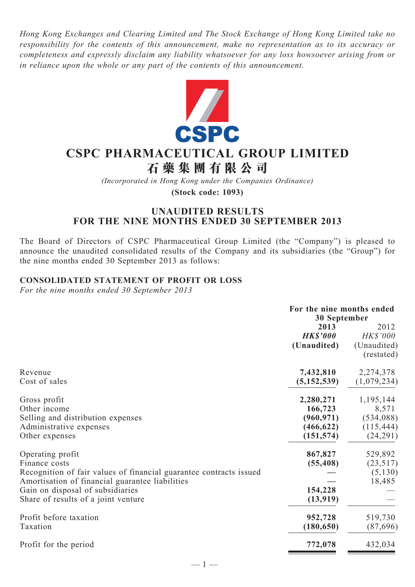*Hong Kong Exchanges and Clearing Limited and The Stock Exchange of Hong Kong Limited take no responsibility for the contents of this announcement, make no representation as to its accuracy or completeness and expressly disclaim any liability whatsoever for any loss howsoever arising from or in reliance upon the whole or any part of the contents of this announcement.*



# **CSPC Pharmaceutical Group Limited**

**石 藥 集 團 有 限 公 司**

*(Incorporated in Hong Kong under the Companies Ordinance)*

**(Stock code: 1093)**

## **UNAUDITED RESULTS FOR THE NINE MONTHS ENDED 30 SEPTEMBER 2013**

The Board of Directors of CSPC Pharmaceutical Group Limited (the "Company") is pleased to announce the unaudited consolidated results of the Company and its subsidiaries (the "Group") for the nine months ended 30 September 2013 as follows:

## **CONSOLIDATED Statement of profit or loss**

*For the nine months ended 30 September 2013*

|                                                                                                                                                                                                                                       | For the nine months ended<br>30 September                      |                                                            |  |
|---------------------------------------------------------------------------------------------------------------------------------------------------------------------------------------------------------------------------------------|----------------------------------------------------------------|------------------------------------------------------------|--|
|                                                                                                                                                                                                                                       | 2013<br><b>HK\$'000</b><br>(Unaudited)                         | 2012<br><b>HK\$'000</b><br>(Unaudited)<br>(restated)       |  |
| Revenue<br>Cost of sales                                                                                                                                                                                                              | 7,432,810<br>(5, 152, 539)                                     | 2,274,378<br>(1,079,234)                                   |  |
| Gross profit<br>Other income<br>Selling and distribution expenses<br>Administrative expenses<br>Other expenses                                                                                                                        | 2,280,271<br>166,723<br>(960, 971)<br>(466, 622)<br>(151, 574) | 1,195,144<br>8,571<br>(534,088)<br>(115, 444)<br>(24, 291) |  |
| Operating profit<br>Finance costs<br>Recognition of fair values of financial guarantee contracts issued<br>Amortisation of financial guarantee liabilities<br>Gain on disposal of subsidiaries<br>Share of results of a joint venture | 867,827<br>(55, 408)<br>154,228<br>(13,919)                    | 529,892<br>(23,517)<br>(5,130)<br>18,485                   |  |
| Profit before taxation<br>Taxation                                                                                                                                                                                                    | 952,728<br>(180, 650)                                          | 519,730<br>(87, 696)                                       |  |
| Profit for the period                                                                                                                                                                                                                 | 772,078                                                        | 432,034                                                    |  |

 $-1-$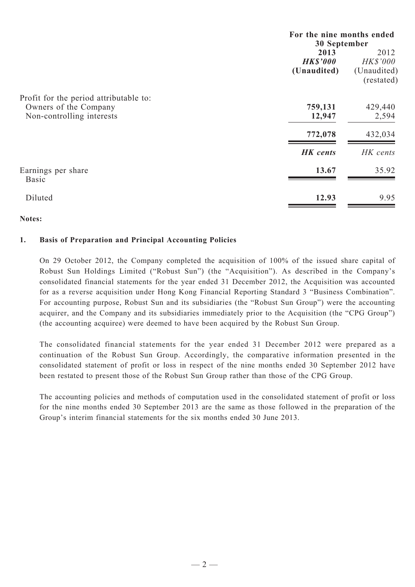|                                                    | For the nine months ended<br>30 September |                           |  |
|----------------------------------------------------|-------------------------------------------|---------------------------|--|
|                                                    | 2013<br><b>HK\$'000</b>                   | 2012<br><b>HK\$'000</b>   |  |
|                                                    | (Unaudited)                               | (Unaudited)<br>(restated) |  |
| Profit for the period attributable to:             |                                           |                           |  |
| Owners of the Company<br>Non-controlling interests | 759,131<br>12,947                         | 429,440<br>2,594          |  |
|                                                    | 772,078                                   | 432,034                   |  |
|                                                    | <b>HK</b> cents                           | HK cents                  |  |
| Earnings per share<br><b>Basic</b>                 | 13.67                                     | 35.92                     |  |
| Diluted                                            | 12.93                                     | 9.95                      |  |

#### **Notes:**

#### **1. Basis of Preparation and Principal Accounting Policies**

On 29 October 2012, the Company completed the acquisition of 100% of the issued share capital of Robust Sun Holdings Limited ("Robust Sun") (the "Acquisition"). As described in the Company's consolidated financial statements for the year ended 31 December 2012, the Acquisition was accounted for as a reverse acquisition under Hong Kong Financial Reporting Standard 3 "Business Combination". For accounting purpose, Robust Sun and its subsidiaries (the "Robust Sun Group") were the accounting acquirer, and the Company and its subsidiaries immediately prior to the Acquisition (the "CPG Group") (the accounting acquiree) were deemed to have been acquired by the Robust Sun Group.

The consolidated financial statements for the year ended 31 December 2012 were prepared as a continuation of the Robust Sun Group. Accordingly, the comparative information presented in the consolidated statement of profit or loss in respect of the nine months ended 30 September 2012 have been restated to present those of the Robust Sun Group rather than those of the CPG Group.

The accounting policies and methods of computation used in the consolidated statement of profit or loss for the nine months ended 30 September 2013 are the same as those followed in the preparation of the Group's interim financial statements for the six months ended 30 June 2013.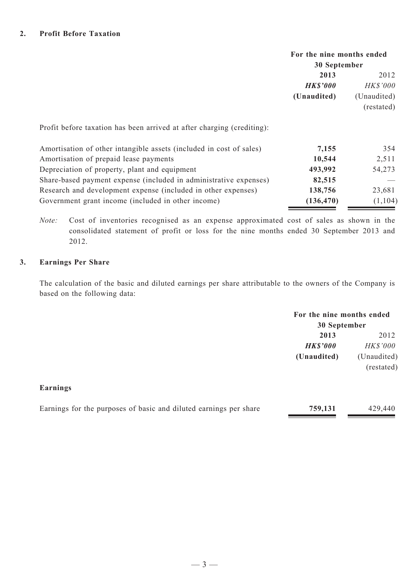|                                                                        | For the nine months ended |                 |  |
|------------------------------------------------------------------------|---------------------------|-----------------|--|
|                                                                        | 30 September              |                 |  |
|                                                                        | 2013                      | 2012            |  |
|                                                                        | <b>HK\$'000</b>           | <b>HK\$'000</b> |  |
|                                                                        | (Unaudited)               | (Unaudited)     |  |
|                                                                        |                           | (restated)      |  |
| Profit before taxation has been arrived at after charging (crediting): |                           |                 |  |
| Amortisation of other intangible assets (included in cost of sales)    | 7,155                     | 354             |  |
| Amortisation of prepaid lease payments                                 | 10,544                    | 2,511           |  |
| Depreciation of property, plant and equipment                          | 493,992                   | 54,273          |  |
| Share-based payment expense (included in administrative expenses)      | 82,515                    |                 |  |
| Research and development expense (included in other expenses)          | 138,756                   | 23,681          |  |
| Government grant income (included in other income)                     | (136, 470)                | (1, 104)        |  |

*Note:* Cost of inventories recognised as an expense approximated cost of sales as shown in the consolidated statement of profit or loss for the nine months ended 30 September 2013 and 2012.

#### **3. Earnings Per Share**

The calculation of the basic and diluted earnings per share attributable to the owners of the Company is based on the following data:

| For the nine months ended |  |  |  |  |  |
|---------------------------|--|--|--|--|--|
| 30 September              |  |  |  |  |  |
| 2012                      |  |  |  |  |  |
| <i>HK\$'000</i>           |  |  |  |  |  |
| (Unaudited)               |  |  |  |  |  |
| (restated)                |  |  |  |  |  |
|                           |  |  |  |  |  |

#### **Earnings**

| 759,131<br>Earnings for the purposes of basic and diluted earnings per share | 429,440 |
|------------------------------------------------------------------------------|---------|
|------------------------------------------------------------------------------|---------|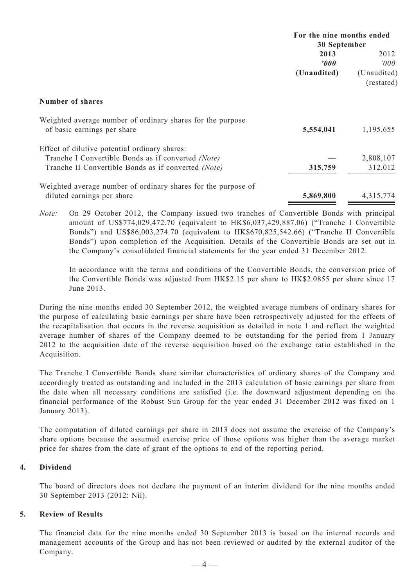|                                                                                           | For the nine months ended<br>30 September |                           |  |
|-------------------------------------------------------------------------------------------|-------------------------------------------|---------------------------|--|
|                                                                                           | 2013                                      | 2012                      |  |
|                                                                                           | 2000                                      | '000                      |  |
|                                                                                           | (Unaudited)                               | (Unaudited)<br>(restated) |  |
| <b>Number of shares</b>                                                                   |                                           |                           |  |
| Weighted average number of ordinary shares for the purpose<br>of basic earnings per share | 5,554,041                                 | 1,195,655                 |  |
| Effect of dilutive potential ordinary shares:                                             |                                           |                           |  |
| Tranche I Convertible Bonds as if converted (Note)                                        |                                           | 2,808,107                 |  |
| Tranche II Convertible Bonds as if converted (Note)                                       | 315,759                                   | 312,012                   |  |
| Weighted average number of ordinary shares for the purpose of                             |                                           |                           |  |
| diluted earnings per share                                                                | 5,869,800                                 | 4,315,774                 |  |

*Note:* On 29 October 2012, the Company issued two tranches of Convertible Bonds with principal amount of US\$774,029,472.70 (equivalent to HK\$6,037,429,887.06) ("Tranche I Convertible Bonds") and US\$86,003,274.70 (equivalent to HK\$670,825,542.66) ("Tranche II Convertible Bonds") upon completion of the Acquisition. Details of the Convertible Bonds are set out in the Company's consolidated financial statements for the year ended 31 December 2012.

In accordance with the terms and conditions of the Convertible Bonds, the conversion price of the Convertible Bonds was adjusted from HK\$2.15 per share to HK\$2.0855 per share since 17 June 2013.

During the nine months ended 30 September 2012, the weighted average numbers of ordinary shares for the purpose of calculating basic earnings per share have been retrospectively adjusted for the effects of the recapitalisation that occurs in the reverse acquisition as detailed in note 1 and reflect the weighted average number of shares of the Company deemed to be outstanding for the period from 1 January 2012 to the acquisition date of the reverse acquisition based on the exchange ratio established in the Acquisition.

The Tranche I Convertible Bonds share similar characteristics of ordinary shares of the Company and accordingly treated as outstanding and included in the 2013 calculation of basic earnings per share from the date when all necessary conditions are satisfied (i.e. the downward adjustment depending on the financial performance of the Robust Sun Group for the year ended 31 December 2012 was fixed on 1 January 2013).

The computation of diluted earnings per share in 2013 does not assume the exercise of the Company's share options because the assumed exercise price of those options was higher than the average market price for shares from the date of grant of the options to end of the reporting period.

#### **4. Dividend**

The board of directors does not declare the payment of an interim dividend for the nine months ended 30 September 2013 (2012: Nil).

#### **5. Review of Results**

The financial data for the nine months ended 30 September 2013 is based on the internal records and management accounts of the Group and has not been reviewed or audited by the external auditor of the Company.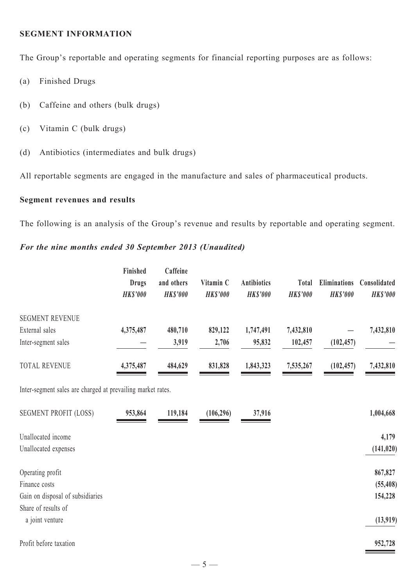#### **SEGMENT INFORMATION**

The Group's reportable and operating segments for financial reporting purposes are as follows:

- (a) Finished Drugs
- (b) Caffeine and others (bulk drugs)
- (c) Vitamin C (bulk drugs)
- (d) Antibiotics (intermediates and bulk drugs)

All reportable segments are engaged in the manufacture and sales of pharmaceutical products.

## **Segment revenues and results**

The following is an analysis of the Group's revenue and results by reportable and operating segment.

## *For the nine months ended 30 September 2013 (Unaudited)*

|                        | Finished<br><b>Drugs</b><br><b>HKS'000</b> | Caffeine<br>and others<br><b>HK\$'000</b> | Vitamin C<br><b>HKS'000</b> | <b>Antibiotics</b><br><b>HK\$'000</b> | <b>Total</b><br><b>HKS'000</b> | <b>Eliminations</b><br><b>HKS'000</b> | Consolidated<br><b>HK\$'000</b> |
|------------------------|--------------------------------------------|-------------------------------------------|-----------------------------|---------------------------------------|--------------------------------|---------------------------------------|---------------------------------|
| <b>SEGMENT REVENUE</b> |                                            |                                           |                             |                                       |                                |                                       |                                 |
| External sales         | 4,375,487                                  | 480,710                                   | 829,122                     | 1,747,491                             | 7,432,810                      |                                       | 7,432,810                       |
| Inter-segment sales    |                                            | 3,919                                     | 2,706                       | 95,832                                | 102,457                        | (102, 457)                            |                                 |
| <b>TOTAL REVENUE</b>   | 4,375,487                                  | 484,629                                   | 831,828                     | 1,843,323                             | 7,535,267                      | (102, 457)                            | 7,432,810                       |

Inter-segment sales are charged at prevailing market rates.

| <b>SEGMENT PROFIT (LOSS)</b>     | 953,864 | 119,184 | (106, 296) | 37,916 | 1,004,668  |
|----------------------------------|---------|---------|------------|--------|------------|
| Unallocated income               |         |         |            |        | 4,179      |
| Unallocated expenses             |         |         |            |        | (141, 020) |
| Operating profit                 |         |         |            |        | 867,827    |
| Finance costs                    |         |         |            |        | (55, 408)  |
| Gain on disposal of subsidiaries |         |         |            |        | 154,228    |
| Share of results of              |         |         |            |        |            |
| a joint venture                  |         |         |            |        | (13,919)   |
| Profit before taxation           |         |         |            |        | 952,728    |

 $-5-$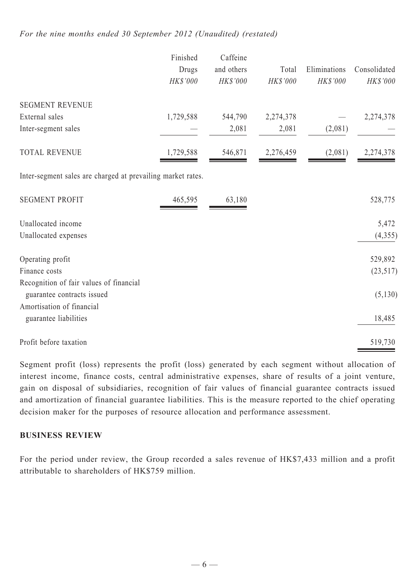## *For the nine months ended 30 September 2012 (Unaudited) (restated)*

|                                                                       | Finished  | Caffeine   |           |              |              |
|-----------------------------------------------------------------------|-----------|------------|-----------|--------------|--------------|
|                                                                       | Drugs     | and others | Total     | Eliminations | Consolidated |
|                                                                       | HK\$'000  | HK\$'000   | HK\$'000  | HK\$'000     | HK\$'000     |
| <b>SEGMENT REVENUE</b>                                                |           |            |           |              |              |
| External sales                                                        | 1,729,588 | 544,790    | 2,274,378 |              | 2,274,378    |
| Inter-segment sales                                                   |           | 2,081      | 2,081     | (2,081)      |              |
| <b>TOTAL REVENUE</b>                                                  | 1,729,588 | 546,871    | 2,276,459 | (2,081)      | 2,274,378    |
| Inter-segment sales are charged at prevailing market rates.           |           |            |           |              |              |
| <b>SEGMENT PROFIT</b>                                                 | 465,595   | 63,180     |           |              | 528,775      |
| Unallocated income                                                    |           |            |           |              | 5,472        |
| Unallocated expenses                                                  |           |            |           |              | (4,355)      |
| Operating profit                                                      |           |            |           |              | 529,892      |
| Finance costs                                                         |           |            |           |              | (23, 517)    |
| Recognition of fair values of financial<br>guarantee contracts issued |           |            |           |              | (5, 130)     |
| Amortisation of financial                                             |           |            |           |              |              |
| guarantee liabilities                                                 |           |            |           |              | 18,485       |
| Profit before taxation                                                |           |            |           |              | 519,730      |

Segment profit (loss) represents the profit (loss) generated by each segment without allocation of interest income, finance costs, central administrative expenses, share of results of a joint venture, gain on disposal of subsidiaries, recognition of fair values of financial guarantee contracts issued and amortization of financial guarantee liabilities. This is the measure reported to the chief operating decision maker for the purposes of resource allocation and performance assessment.

## **BUSINESS REVIEW**

For the period under review, the Group recorded a sales revenue of HK\$7,433 million and a profit attributable to shareholders of HK\$759 million.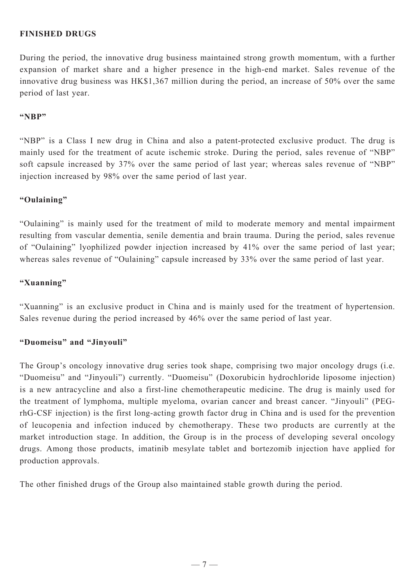## **Finished Drugs**

During the period, the innovative drug business maintained strong growth momentum, with a further expansion of market share and a higher presence in the high-end market. Sales revenue of the innovative drug business was HK\$1,367 million during the period, an increase of 50% over the same period of last year.

#### **"NBP"**

"NBP" is a Class I new drug in China and also a patent-protected exclusive product. The drug is mainly used for the treatment of acute ischemic stroke. During the period, sales revenue of "NBP" soft capsule increased by 37% over the same period of last year; whereas sales revenue of "NBP" injection increased by 98% over the same period of last year.

## **"Oulaining"**

"Oulaining" is mainly used for the treatment of mild to moderate memory and mental impairment resulting from vascular dementia, senile dementia and brain trauma. During the period, sales revenue of "Oulaining" lyophilized powder injection increased by 41% over the same period of last year; whereas sales revenue of "Oulaining" capsule increased by 33% over the same period of last year.

## **"Xuanning"**

"Xuanning" is an exclusive product in China and is mainly used for the treatment of hypertension. Sales revenue during the period increased by 46% over the same period of last year.

#### **"Duomeisu" and "Jinyouli"**

The Group's oncology innovative drug series took shape, comprising two major oncology drugs (i.e. "Duomeisu" and "Jinyouli") currently. "Duomeisu" (Doxorubicin hydrochloride liposome injection) is a new antracycline and also a first-line chemotherapeutic medicine. The drug is mainly used for the treatment of lymphoma, multiple myeloma, ovarian cancer and breast cancer. "Jinyouli" (PEGrhG-CSF injection) is the first long-acting growth factor drug in China and is used for the prevention of leucopenia and infection induced by chemotherapy. These two products are currently at the market introduction stage. In addition, the Group is in the process of developing several oncology drugs. Among those products, imatinib mesylate tablet and bortezomib injection have applied for production approvals.

The other finished drugs of the Group also maintained stable growth during the period.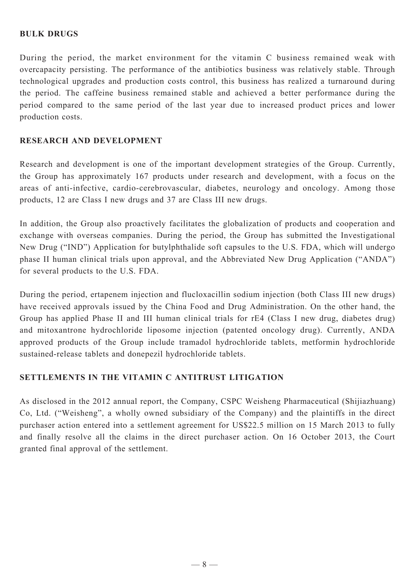## **Bulk Drugs**

During the period, the market environment for the vitamin C business remained weak with overcapacity persisting. The performance of the antibiotics business was relatively stable. Through technological upgrades and production costs control, this business has realized a turnaround during the period. The caffeine business remained stable and achieved a better performance during the period compared to the same period of the last year due to increased product prices and lower production costs.

## **Research and Development**

Research and development is one of the important development strategies of the Group. Currently, the Group has approximately 167 products under research and development, with a focus on the areas of anti-infective, cardio-cerebrovascular, diabetes, neurology and oncology. Among those products, 12 are Class I new drugs and 37 are Class III new drugs.

In addition, the Group also proactively facilitates the globalization of products and cooperation and exchange with overseas companies. During the period, the Group has submitted the Investigational New Drug ("IND") Application for butylphthalide soft capsules to the U.S. FDA, which will undergo phase II human clinical trials upon approval, and the Abbreviated New Drug Application ("ANDA") for several products to the U.S. FDA.

During the period, ertapenem injection and flucloxacillin sodium injection (both Class III new drugs) have received approvals issued by the China Food and Drug Administration. On the other hand, the Group has applied Phase II and III human clinical trials for rE4 (Class I new drug, diabetes drug) and mitoxantrone hydrochloride liposome injection (patented oncology drug). Currently, ANDA approved products of the Group include tramadol hydrochloride tablets, metformin hydrochloride sustained-release tablets and donepezil hydrochloride tablets.

## **SETTLEMENTS IN THE VITAMIN C ANTITRUST LITIGATION**

As disclosed in the 2012 annual report, the Company, CSPC Weisheng Pharmaceutical (Shijiazhuang) Co, Ltd. ("Weisheng", a wholly owned subsidiary of the Company) and the plaintiffs in the direct purchaser action entered into a settlement agreement for US\$22.5 million on 15 March 2013 to fully and finally resolve all the claims in the direct purchaser action. On 16 October 2013, the Court granted final approval of the settlement.